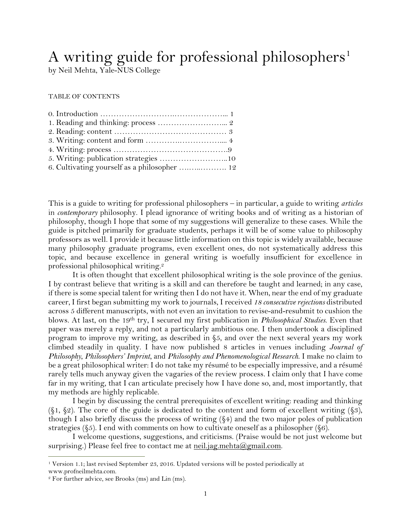# A writing guide for professional philosophers<sup>1</sup>

by Neil Mehta, Yale-NUS College

TABLE OF CONTENTS

| 6. Cultivating yourself as a philosopher  12 |  |
|----------------------------------------------|--|

This is a guide to writing for professional philosophers – in particular, a guide to writing *articles* in *contemporary* philosophy. I plead ignorance of writing books and of writing as a historian of philosophy, though I hope that some of my suggestions will generalize to these cases. While the guide is pitched primarily for graduate students, perhaps it will be of some value to philosophy professors as well. I provide it because little information on this topic is widely available, because many philosophy graduate programs, even excellent ones, do not systematically address this topic, and because excellence in general writing is woefully insufficient for excellence in professional philosophical writing. 2

It is often thought that excellent philosophical writing is the sole province of the genius. I by contrast believe that writing is a skill and can therefore be taught and learned; in any case, if there is some special talent for writing then I do not have it. When, near the end of my graduate career, I first began submitting my work to journals, I received *18 consecutive rejections* distributed across 5 different manuscripts, with not even an invitation to revise-and-resubmit to cushion the blows. At last, on the 19th try, I secured my first publication in *Philosophical Studies*. Even that paper was merely a reply, and not a particularly ambitious one. I then undertook a disciplined program to improve my writing, as described in §5, and over the next several years my work climbed steadily in quality. I have now published 8 articles in venues including *Journal of Philosophy*, *Philosophers' Imprint*, and *Philosophy and Phenomenological Research*. I make no claim to be a great philosophical writer: I do not take my résumé to be especially impressive, and a résumé rarely tells much anyway given the vagaries of the review process. I claim only that I have come far in my writing, that I can articulate precisely how I have done so, and, most importantly, that my methods are highly replicable.

I begin by discussing the central prerequisites of excellent writing: reading and thinking  $(\xi_1, \xi_2)$ . The core of the guide is dedicated to the content and form of excellent writing  $(\xi_3)$ , though I also briefly discuss the process of writing (§4) and the two major poles of publication strategies ( $\S$ 5). I end with comments on how to cultivate oneself as a philosopher ( $\S$ 6).

I welcome questions, suggestions, and criticisms. (Praise would be not just welcome but surprising.) Please feel free to contact me at [neil.jag.mehta@gmail.com.](mailto:neil.jag.mehta@gmail.com)

<sup>1</sup> Version 1.1; last revised September 23, 2016. Updated versions will be posted periodically at www.profneilmehta.com.

<sup>2</sup> For further advice, see Brooks (ms) and Lin (ms).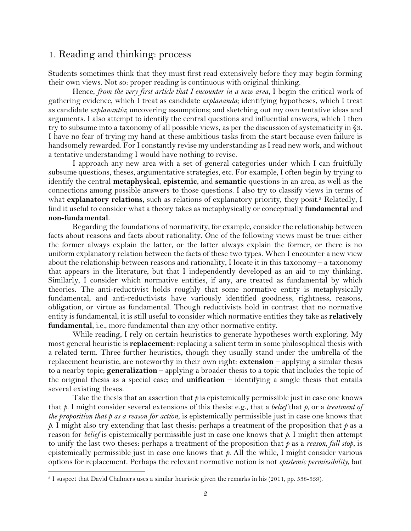# 1. Reading and thinking: process

Students sometimes think that they must first read extensively before they may begin forming their own views. Not so: proper reading is continuous with original thinking.

Hence, *from the very first article that I encounter in a new area*, I begin the critical work of gathering evidence, which I treat as candidate *explananda*; identifying hypotheses, which I treat as candidate *explanantia*; uncovering assumptions; and sketching out my own tentative ideas and arguments. I also attempt to identify the central questions and influential answers, which I then try to subsume into a taxonomy of all possible views, as per the discussion of systematicity in §3. I have no fear of trying my hand at these ambitious tasks from the start because even failure is handsomely rewarded. For I constantly revise my understanding as I read new work, and without a tentative understanding I would have nothing to revise.

I approach any new area with a set of general categories under which I can fruitfully subsume questions, theses, argumentative strategies, etc. For example, I often begin by trying to identify the central **metaphysical**, **epistemic**, and **semantic** questions in an area, as well as the connections among possible answers to those questions. I also try to classify views in terms of what **explanatory relations**, such as relations of explanatory priority, they posit. <sup>3</sup> Relatedly, I find it useful to consider what a theory takes as metaphysically or conceptually **fundamental** and **non-fundamental**.

Regarding the foundations of normativity, for example, consider the relationship between facts about reasons and facts about rationality. One of the following views must be true: either the former always explain the latter, or the latter always explain the former, or there is no uniform explanatory relation between the facts of these two types. When I encounter a new view about the relationship between reasons and rationality, I locate it in this taxonomy – a taxonomy that appears in the literature, but that I independently developed as an aid to my thinking. Similarly, I consider which normative entities, if any, are treated as fundamental by which theories. The anti-reductivist holds roughly that some normative entity is metaphysically fundamental, and anti-reductivists have variously identified goodness, rightness, reasons, obligation, or virtue as fundamental. Though reductivists hold in contrast that no normative entity is fundamental, it is still useful to consider which normative entities they take as **relatively fundamental**, i.e., more fundamental than any other normative entity.

While reading, I rely on certain heuristics to generate hypotheses worth exploring. My most general heuristic is **replacement**: replacing a salient term in some philosophical thesis with a related term. Three further heuristics, though they usually stand under the umbrella of the replacement heuristic, are noteworthy in their own right: **extension** – applying a similar thesis to a nearby topic; **generalization** – applying a broader thesis to a topic that includes the topic of the original thesis as a special case; and **unification** – identifying a single thesis that entails several existing theses.

Take the thesis that an assertion that  $p$  is epistemically permissible just in case one knows that *p*. I might consider several extensions of this thesis: e.g., that a *belief* that *p*, or a *treatment of the proposition that p as a reason for action*, is epistemically permissible just in case one knows that *p*. I might also try extending that last thesis: perhaps a treatment of the proposition that *p* as a reason for *belief* is epistemically permissible just in case one knows that *p*. I might then attempt to unify the last two theses: perhaps a treatment of the proposition that *p* as a *reason, full stop*, is epistemically permissible just in case one knows that *p*. All the while, I might consider various options for replacement. Perhaps the relevant normative notion is not *epistemic permissibility*, but

<sup>3</sup> I suspect that David Chalmers uses a similar heuristic given the remarks in his (2011, pp. 538-539).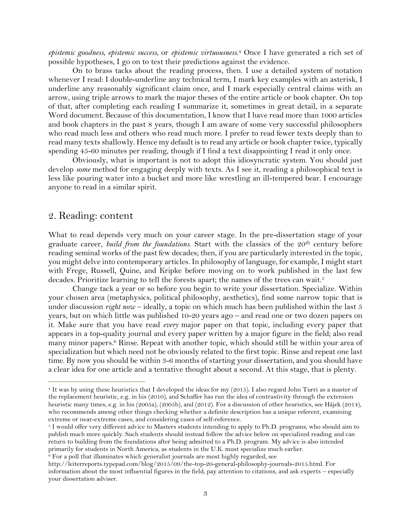*epistemic goodness*, *epistemic success*, or *epistemic virtuousness*. <sup>4</sup> Once I have generated a rich set of possible hypotheses, I go on to test their predictions against the evidence.

On to brass tacks about the reading process, then. I use a detailed system of notation whenever I read: I double-underline any technical term, I mark key examples with an asterisk, I underline any reasonably significant claim once, and I mark especially central claims with an arrow, using triple arrows to mark the major theses of the entire article or book chapter. On top of that, after completing each reading I summarize it, sometimes in great detail, in a separate Word document. Because of this documentation, I know that I have read more than 1000 articles and book chapters in the past 8 years, though I am aware of some very successful philosophers who read much less and others who read much more. I prefer to read fewer texts deeply than to read many texts shallowly. Hence my default is to read any article or book chapter twice, typically spending 45-60 minutes per reading, though if I find a text disappointing I read it only once.

Obviously, what is important is not to adopt this idiosyncratic system. You should just develop *some* method for engaging deeply with texts. As I see it, reading a philosophical text is less like pouring water into a bucket and more like wrestling an ill-tempered bear. I encourage anyone to read in a similar spirit.

#### 2. Reading: content

 $\overline{a}$ 

What to read depends very much on your career stage. In the pre-dissertation stage of your graduate career, *build from the foundations*. Start with the classics of the 20th century before reading seminal works of the past few decades; then, if you are particularly interested in the topic, you might delve into contemporary articles. In philosophy of language, for example, I might start with Frege, Russell, Quine, and Kripke before moving on to work published in the last few decades. Prioritize learning to tell the forests apart; the names of the trees can wait.<sup>5</sup>

Change tack a year or so before you begin to write your dissertation. Specialize. Within your chosen area (metaphysics, political philosophy, aesthetics), find some narrow topic that is under discussion *right now* – ideally, a topic on which much has been published within the last 5 years, but on which little was published 10-20 years ago – and read one or two dozen papers on it. Make sure that you have read *every* major paper on that topic, including every paper that appears in a top-quality journal and every paper written by a major figure in the field; also read many minor papers.<sup>6</sup> Rinse. Repeat with another topic, which should still be within your area of specialization but which need not be obviously related to the first topic. Rinse and repeat one last time. By now you should be within 3-6 months of starting your dissertation, and you should have a clear idea for one article and a tentative thought about a second. At this stage, that is plenty.

 $6$  For a poll that illuminates which generalist journals are most highly regarded, see

<sup>4</sup> It was by using these heuristics that I developed the ideas for my (2015). I also regard John Turri as a master of the replacement heuristic, e.g. in his (2010), and Schaffer has run the idea of contrastivity through the extension heuristic many times, e.g. in his (2005a), (2005b), and (2012). For a discussion of other heuristics, see Hájek (2014), who recommends among other things checking whether a definite description has a unique referent, examining extreme or near-extreme cases, and considering cases of self-reference.

<sup>5</sup> I would offer very different advice to Masters students intending to apply to Ph.D. programs, who should aim to publish much more quickly. Such students should instead follow the advice below on specialized reading and can return to building from the foundations after being admitted to a Ph.D. program. My advice is also intended primarily for students in North America, as students in the U.K. must specialize much earlier.

http://leiterreports.typepad.com/blog/2015/09/the-top-20-general-philosophy-journals-2015.html. For information about the most influential figures in the field, pay attention to citations, and ask experts – especially your dissertation adviser.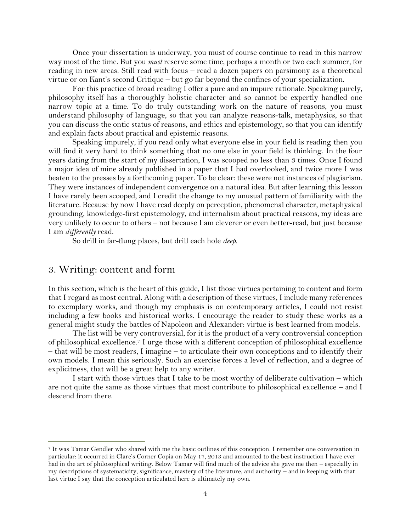Once your dissertation is underway, you must of course continue to read in this narrow way most of the time. But you *must* reserve some time, perhaps a month or two each summer, for reading in new areas. Still read with focus – read a dozen papers on parsimony as a theoretical virtue or on Kant's second Critique – but go far beyond the confines of your specialization.

For this practice of broad reading I offer a pure and an impure rationale. Speaking purely, philosophy itself has a thoroughly holistic character and so cannot be expertly handled one narrow topic at a time. To do truly outstanding work on the nature of reasons, you must understand philosophy of language, so that you can analyze reasons-talk, metaphysics, so that you can discuss the ontic status of reasons, and ethics and epistemology, so that you can identify and explain facts about practical and epistemic reasons.

Speaking impurely, if you read only what everyone else in your field is reading then you will find it very hard to think something that no one else in your field is thinking. In the four years dating from the start of my dissertation, I was scooped no less than 3 times. Once I found a major idea of mine already published in a paper that I had overlooked, and twice more I was beaten to the presses by a forthcoming paper. To be clear: these were not instances of plagiarism. They were instances of independent convergence on a natural idea. But after learning this lesson I have rarely been scooped, and I credit the change to my unusual pattern of familiarity with the literature. Because by now I have read deeply on perception, phenomenal character, metaphysical grounding, knowledge-first epistemology, and internalism about practical reasons, my ideas are very unlikely to occur to others – not because I am cleverer or even better-read, but just because I am *differently* read.

So drill in far-flung places, but drill each hole *deep*.

## 3. Writing: content and form

 $\overline{a}$ 

In this section, which is the heart of this guide, I list those virtues pertaining to content and form that I regard as most central. Along with a description of these virtues, I include many references to exemplary works, and though my emphasis is on contemporary articles, I could not resist including a few books and historical works. I encourage the reader to study these works as a general might study the battles of Napoleon and Alexander: virtue is best learned from models.

The list will be very controversial, for it is the product of a very controversial conception of philosophical excellence.<sup>7</sup> I urge those with a different conception of philosophical excellence – that will be most readers, I imagine – to articulate their own conceptions and to identify their own models. I mean this seriously. Such an exercise forces a level of reflection, and a degree of explicitness, that will be a great help to any writer.

I start with those virtues that I take to be most worthy of deliberate cultivation – which are not quite the same as those virtues that most contribute to philosophical excellence – and I descend from there.

<sup>7</sup> It was Tamar Gendler who shared with me the basic outlines of this conception. I remember one conversation in particular: it occurred in Clare's Corner Copia on May 17, 2013 and amounted to the best instruction I have ever had in the art of philosophical writing. Below Tamar will find much of the advice she gave me then – especially in my descriptions of systematicity, significance, mastery of the literature, and authority – and in keeping with that last virtue I say that the conception articulated here is ultimately my own.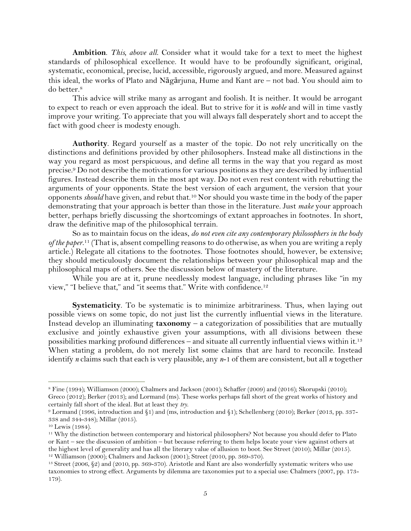**Ambition**. *This, above all*. Consider what it would take for a text to meet the highest standards of philosophical excellence. It would have to be profoundly significant, original, systematic, economical, precise, lucid, accessible, rigorously argued, and more. Measured against this ideal, the works of Plato and Nāgārjuna, Hume and Kant are – not bad. You should aim to do better.<sup>8</sup>

This advice will strike many as arrogant and foolish. It is neither. It would be arrogant to expect to reach or even approach the ideal. But to strive for it is *noble* and will in time vastly improve your writing. To appreciate that you will always fall desperately short and to accept the fact with good cheer is modesty enough.

**Authority**. Regard yourself as a master of the topic. Do not rely uncritically on the distinctions and definitions provided by other philosophers. Instead make all distinctions in the way you regard as most perspicuous, and define all terms in the way that you regard as most precise. <sup>9</sup> Do not describe the motivations for various positions as they are described by influential figures. Instead describe them in the most apt way. Do not even rest content with rebutting the arguments of your opponents. State the best version of each argument, the version that your opponents *should* have given, and rebut that.<sup>10</sup> Nor should you waste time in the body of the paper demonstrating that your approach is better than those in the literature. Just *make* your approach better, perhaps briefly discussing the shortcomings of extant approaches in footnotes. In short, draw the definitive map of the philosophical terrain.

So as to maintain focus on the ideas, *do not even cite any contemporary philosophers in the body of the paper*. <sup>11</sup> (That is, absent compelling reasons to do otherwise, as when you are writing a reply article.) Relegate all citations to the footnotes. Those footnotes should, however, be extensive; they should meticulously document the relationships between your philosophical map and the philosophical maps of others. See the discussion below of mastery of the literature.

While you are at it, prune needlessly modest language, including phrases like "in my view," "I believe that," and "it seems that." Write with confidence.<sup>12</sup>

**Systematicity**. To be systematic is to minimize arbitrariness. Thus, when laying out possible views on some topic, do not just list the currently influential views in the literature. Instead develop an illuminating **taxonomy** – a categorization of possibilities that are mutually exclusive and jointly exhaustive given your assumptions, with all divisions between these possibilities marking profound differences – and situate all currently influential views within it.<sup>13</sup> When stating a problem, do not merely list some claims that are hard to reconcile. Instead identify *n* claims such that each is very plausible, any *n*-1 of them are consistent, but all *n* together

<sup>8</sup> Fine (1994); Williamson (2000); Chalmers and Jackson (2001); Schaffer (2009) and (2016); Skorupski (2010); Greco (2012); Berker (2013); and Lormand (ms). These works perhaps fall short of the great works of history and certainly fall short of the ideal. But at least they *try*.

<sup>9</sup> Lormand (1996, introduction and §1) and (ms, introduction and §1); Schellenberg (2010); Berker (2013, pp. 337- 338 and 344-348); Millar (2015).

<sup>10</sup> Lewis (1984).

<sup>11</sup> Why the distinction between contemporary and historical philosophers? Not because you should defer to Plato or Kant – see the discussion of ambition – but because referring to them helps locate your view against others at the highest level of generality and has all the literary value of allusion to boot. See Street (2010); Millar (2015). <sup>12</sup> Williamson (2000); Chalmers and Jackson (2001); Street (2010, pp. 369-370).

<sup>13</sup> Street (2006, §2) and (2010, pp. 369-370). Aristotle and Kant are also wonderfully systematic writers who use taxonomies to strong effect. Arguments by dilemma are taxonomies put to a special use: Chalmers (2007, pp. 173- 179).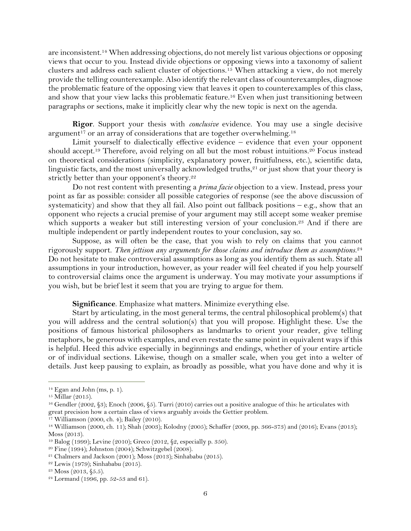are inconsistent.<sup>14</sup> When addressing objections, do not merely list various objections or opposing views that occur to you. Instead divide objections or opposing views into a taxonomy of salient clusters and address each salient cluster of objections.<sup>15</sup> When attacking a view, do not merely provide the telling counterexample. Also identify the relevant class of counterexamples, diagnose the problematic feature of the opposing view that leaves it open to counterexamples of this class, and show that your view lacks this problematic feature.<sup>16</sup> Even when just transitioning between paragraphs or sections, make it implicitly clear why the new topic is next on the agenda.

**Rigor**. Support your thesis with *conclusive* evidence. You may use a single decisive argument<sup>17</sup> or an array of considerations that are together overwhelming.<sup>18</sup>

Limit yourself to dialectically effective evidence – evidence that even your opponent should accept.<sup>19</sup> Therefore, avoid relying on all but the most robust intuitions.<sup>20</sup> Focus instead on theoretical considerations (simplicity, explanatory power, fruitfulness, etc.), scientific data, linguistic facts, and the most universally acknowledged truths, $21$  or just show that your theory is strictly better than your opponent's theory.<sup>22</sup>

Do not rest content with presenting a *prima facie* objection to a view. Instead, press your point as far as possible: consider all possible categories of response (see the above discussion of systematicity) and show that they all fail. Also point out fallback positions  $-$  e.g., show that an opponent who rejects a crucial premise of your argument may still accept some weaker premise which supports a weaker but still interesting version of your conclusion.<sup>23</sup> And if there are multiple independent or partly independent routes to your conclusion, say so.

Suppose, as will often be the case, that you wish to rely on claims that you cannot rigorously support. *Then jettison any arguments for those claims and introduce them as assumptions*. 24 Do not hesitate to make controversial assumptions as long as you identify them as such. State all assumptions in your introduction, however, as your reader will feel cheated if you help yourself to controversial claims once the argument is underway. You may motivate your assumptions if you wish, but be brief lest it seem that you are trying to argue for them.

**Significance**. Emphasize what matters. Minimize everything else.

Start by articulating, in the most general terms, the central philosophical problem(s) that you will address and the central solution(s) that you will propose. Highlight these. Use the positions of famous historical philosophers as landmarks to orient your reader, give telling metaphors, be generous with examples, and even restate the same point in equivalent ways if this is helpful. Heed this advice especially in beginnings and endings, whether of your entire article or of individual sections. Likewise, though on a smaller scale, when you get into a welter of details. Just keep pausing to explain, as broadly as possible, what you have done and why it is

<sup>14</sup> Egan and John (ms, p. 1).

<sup>15</sup> Millar (2015).

<sup>16</sup> Gendler (2002, §3); Enoch (2006, §5). Turri (2010) carries out a positive analogue of this: he articulates with great precision how a certain class of views arguably avoids the Gettier problem.

<sup>17</sup> Williamson (2000, ch. 4); Bailey (2010).

<sup>18</sup> Williamson (2000, ch. 11); Shah (2003); Kolodny (2005); Schaffer (2009, pp. 366-373) and (2016); Evans (2013); Moss (2013).

<sup>19</sup> Balog (1999); Levine (2010); Greco (2012, §2, especially p. 350).

<sup>20</sup> Fine (1994); Johnston (2004); Schwitzgebel (2008).

<sup>21</sup> Chalmers and Jackson (2001); Moss (2013); Sinhababu (2015).

<sup>22</sup> Lewis (1979); Sinhababu (2015).

<sup>23</sup> Moss (2013, §5.5).

 $24$  Lormand (1996, pp. 52-53 and 61).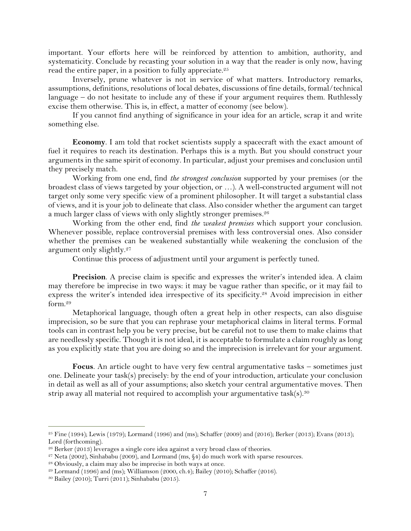important. Your efforts here will be reinforced by attention to ambition, authority, and systematicity. Conclude by recasting your solution in a way that the reader is only now, having read the entire paper, in a position to fully appreciate.<sup>25</sup>

Inversely, prune whatever is not in service of what matters. Introductory remarks, assumptions, definitions, resolutions of local debates, discussions of fine details, formal/technical language – do not hesitate to include any of these if your argument requires them. Ruthlessly excise them otherwise. This is, in effect, a matter of economy (see below).

If you cannot find anything of significance in your idea for an article, scrap it and write something else.

**Economy**. I am told that rocket scientists supply a spacecraft with the exact amount of fuel it requires to reach its destination. Perhaps this is a myth. But you should construct your arguments in the same spirit of economy. In particular, adjust your premises and conclusion until they precisely match.

Working from one end, find *the strongest conclusion* supported by your premises (or the broadest class of views targeted by your objection, or …). A well-constructed argument will not target only some very specific view of a prominent philosopher. It will target a substantial class of views, and it is your job to delineate that class. Also consider whether the argument can target a much larger class of views with only slightly stronger premises.<sup>26</sup>

Working from the other end, find *the weakest premises* which support your conclusion. Whenever possible, replace controversial premises with less controversial ones. Also consider whether the premises can be weakened substantially while weakening the conclusion of the argument only slightly.<sup>27</sup>

Continue this process of adjustment until your argument is perfectly tuned.

**Precision**. A precise claim is specific and expresses the writer's intended idea. A claim may therefore be imprecise in two ways: it may be vague rather than specific, or it may fail to express the writer's intended idea irrespective of its specificity. <sup>28</sup> Avoid imprecision in either form.<sup>29</sup>

Metaphorical language, though often a great help in other respects, can also disguise imprecision, so be sure that you can rephrase your metaphorical claims in literal terms. Formal tools can in contrast help you be very precise, but be careful not to use them to make claims that are needlessly specific. Though it is not ideal, it is acceptable to formulate a claim roughly as long as you explicitly state that you are doing so and the imprecision is irrelevant for your argument.

**Focus**. An article ought to have very few central argumentative tasks – sometimes just one. Delineate your task(s) precisely: by the end of your introduction, articulate your conclusion in detail as well as all of your assumptions; also sketch your central argumentative moves. Then strip away all material not required to accomplish your argumentative task(s).<sup>30</sup>

<sup>&</sup>lt;sup>25</sup> Fine (1994); Lewis (1979); Lormand (1996) and (ms); Schaffer (2009) and (2016); Berker (2013); Evans (2013); Lord (forthcoming).

<sup>26</sup> Berker (2013) leverages a single core idea against a very broad class of theories.

<sup>&</sup>lt;sup>27</sup> Neta (2002), Sinhababu (2009), and Lormand (ms,  $\S4$ ) do much work with sparse resources.

<sup>28</sup> Obviously, a claim may also be imprecise in both ways at once.

<sup>29</sup> Lormand (1996) and (ms); Williamson (2000, ch.4); Bailey (2010); Schaffer (2016).

<sup>30</sup> Bailey (2010); Turri (2011); Sinhababu (2015).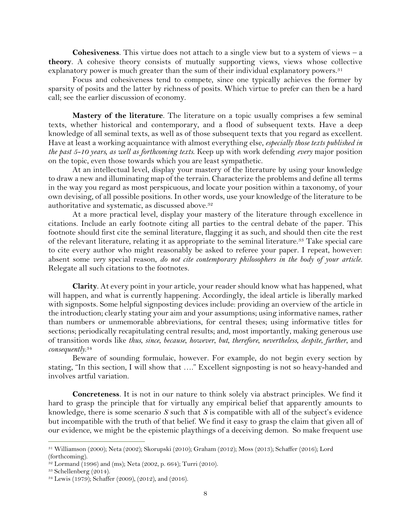**Cohesiveness**. This virtue does not attach to a single view but to a system of views – a **theory**. A cohesive theory consists of mutually supporting views, views whose collective explanatory power is much greater than the sum of their individual explanatory powers.<sup>31</sup>

Focus and cohesiveness tend to compete, since one typically achieves the former by sparsity of posits and the latter by richness of posits. Which virtue to prefer can then be a hard call; see the earlier discussion of economy.

**Mastery of the literature**. The literature on a topic usually comprises a few seminal texts, whether historical and contemporary, and a flood of subsequent texts. Have a deep knowledge of all seminal texts, as well as of those subsequent texts that you regard as excellent. Have at least a working acquaintance with almost everything else, *especially those texts published in the past 5-10 years, as well as forthcoming texts*. Keep up with work defending *every* major position on the topic, even those towards which you are least sympathetic.

At an intellectual level, display your mastery of the literature by using your knowledge to draw a new and illuminating map of the terrain. Characterize the problems and define all terms in the way you regard as most perspicuous, and locate your position within a taxonomy, of your own devising, of all possible positions. In other words, use your knowledge of the literature to be authoritative and systematic, as discussed above. 32

At a more practical level, display your mastery of the literature through excellence in citations. Include an early footnote citing all parties to the central debate of the paper. This footnote should first cite the seminal literature, flagging it as such, and should then cite the rest of the relevant literature, relating it as appropriate to the seminal literature.<sup>33</sup> Take special care to cite every author who might reasonably be asked to referee your paper. I repeat, however: absent some *very* special reason, *do not cite contemporary philosophers in the body of your article*. Relegate all such citations to the footnotes.

**Clarity**. At every point in your article, your reader should know what has happened, what will happen, and what is currently happening. Accordingly, the ideal article is liberally marked with signposts. Some helpful signposting devices include: providing an overview of the article in the introduction; clearly stating your aim and your assumptions; using informative names, rather than numbers or unmemorable abbreviations, for central theses; using informative titles for sections; periodically recapitulating central results; and, most importantly, making generous use of transition words like *thus*, *since*, *because*, *however*, *but*, *therefore*, *nevertheless*, *despite*, *further*, and *consequently*. 34

Beware of sounding formulaic, however. For example, do not begin every section by stating, "In this section, I will show that …." Excellent signposting is not so heavy-handed and involves artful variation.

**Concreteness**. It is not in our nature to think solely via abstract principles. We find it hard to grasp the principle that for virtually any empirical belief that apparently amounts to knowledge, there is some scenario *S* such that *S* is compatible with all of the subject's evidence but incompatible with the truth of that belief. We find it easy to grasp the claim that given all of our evidence, we might be the epistemic playthings of a deceiving demon. So make frequent use

<sup>31</sup> Williamson (2000); Neta (2002); Skorupski (2010); Graham (2012); Moss (2013); Schaffer (2016); Lord (forthcoming).

 $32$  Lormand (1996) and (ms); Neta (2002, p. 664); Turri (2010).

<sup>33</sup> Schellenberg (2014).

<sup>34</sup> Lewis (1979); Schaffer (2009), (2012), and (2016).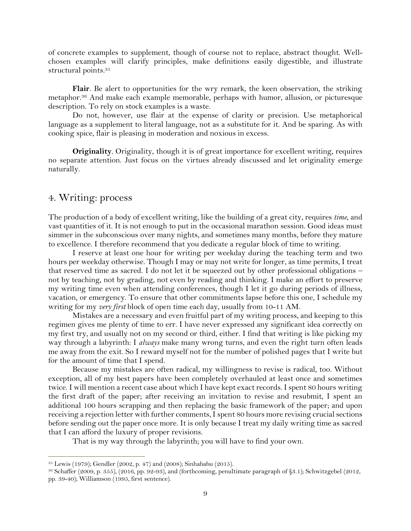of concrete examples to supplement, though of course not to replace, abstract thought. Wellchosen examples will clarify principles, make definitions easily digestible, and illustrate structural points.<sup>35</sup>

**Flair**. Be alert to opportunities for the wry remark, the keen observation, the striking metaphor.<sup>36</sup> And make each example memorable, perhaps with humor, allusion, or picturesque description. To rely on stock examples is a waste.

Do not, however, use flair at the expense of clarity or precision. Use metaphorical language as a supplement to literal language, not as a substitute for it. And be sparing. As with cooking spice, flair is pleasing in moderation and noxious in excess.

**Originality**. Originality, though it is of great importance for excellent writing, requires no separate attention. Just focus on the virtues already discussed and let originality emerge naturally.

### 4. Writing: process

 $\overline{a}$ 

The production of a body of excellent writing, like the building of a great city, requires *time*, and vast quantities of it. It is not enough to put in the occasional marathon session. Good ideas must simmer in the subconscious over many nights, and sometimes many months, before they mature to excellence. I therefore recommend that you dedicate a regular block of time to writing.

I reserve at least one hour for writing per weekday during the teaching term and two hours per weekday otherwise. Though I may or may not write for longer, as time permits, I treat that reserved time as sacred. I do not let it be squeezed out by other professional obligations – not by teaching, not by grading, not even by reading and thinking. I make an effort to preserve my writing time even when attending conferences, though I let it go during periods of illness, vacation, or emergency. To ensure that other commitments lapse before this one, I schedule my writing for my *very first* block of open time each day, usually from 10-11 AM.

Mistakes are a necessary and even fruitful part of my writing process, and keeping to this regimen gives me plenty of time to err. I have never expressed any significant idea correctly on my first try, and usually not on my second or third, either. I find that writing is like picking my way through a labyrinth: I *always* make many wrong turns, and even the right turn often leads me away from the exit. So I reward myself not for the number of polished pages that I write but for the amount of time that I spend.

Because my mistakes are often radical, my willingness to revise is radical, too. Without exception, all of my best papers have been completely overhauled at least once and sometimes twice. I will mention a recent case about which I have kept exact records. I spent 80 hours writing the first draft of the paper; after receiving an invitation to revise and resubmit, I spent an additional 100 hours scrapping and then replacing the basic framework of the paper; and upon receiving a rejection letter with further comments, I spent 80 hours more revising crucial sections before sending out the paper once more. It is only because I treat my daily writing time as sacred that I can afford the luxury of proper revisions.

That is my way through the labyrinth; you will have to find your own.

<sup>35</sup> Lewis (1979); Gendler (2002, p. 47) and (2008); Sinhababu (2015).

<sup>36</sup> Schaffer (2009, p. 355), (2016, pp. 92-93), and (forthcoming, penultimate paragraph of §3.1); Schwitzgebel (2012, pp. 39-40); Williamson (1995, first sentence).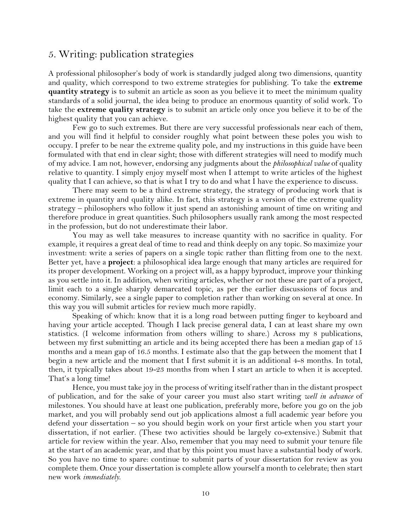# 5. Writing: publication strategies

A professional philosopher's body of work is standardly judged along two dimensions, quantity and quality, which correspond to two extreme strategies for publishing. To take the **extreme quantity strategy** is to submit an article as soon as you believe it to meet the minimum quality standards of a solid journal, the idea being to produce an enormous quantity of solid work. To take the **extreme quality strategy** is to submit an article only once you believe it to be of the highest quality that you can achieve.

Few go to such extremes. But there are very successful professionals near each of them, and you will find it helpful to consider roughly what point between these poles you wish to occupy. I prefer to be near the extreme quality pole, and my instructions in this guide have been formulated with that end in clear sight; those with different strategies will need to modify much of my advice. I am not, however, endorsing any judgments about the *philosophical value* of quality relative to quantity. I simply enjoy myself most when I attempt to write articles of the highest quality that I can achieve, so that is what I try to do and what I have the experience to discuss.

There may seem to be a third extreme strategy, the strategy of producing work that is extreme in quantity and quality alike. In fact, this strategy is a version of the extreme quality strategy – philosophers who follow it just spend an astonishing amount of time on writing and therefore produce in great quantities. Such philosophers usually rank among the most respected in the profession, but do not underestimate their labor.

You may as well take measures to increase quantity with no sacrifice in quality. For example, it requires a great deal of time to read and think deeply on any topic. So maximize your investment: write a series of papers on a single topic rather than flitting from one to the next. Better yet, have a **project**: a philosophical idea large enough that many articles are required for its proper development. Working on a project will, as a happy byproduct, improve your thinking as you settle into it. In addition, when writing articles, whether or not these are part of a project, limit each to a single sharply demarcated topic, as per the earlier discussions of focus and economy. Similarly, see a single paper to completion rather than working on several at once. In this way you will submit articles for review much more rapidly.

Speaking of which: know that it is a long road between putting finger to keyboard and having your article accepted. Though I lack precise general data, I can at least share my own statistics. (I welcome information from others willing to share.) Across my 8 publications, between my first submitting an article and its being accepted there has been a median gap of 15 months and a mean gap of 16.5 months. I estimate also that the gap between the moment that I begin a new article and the moment that I first submit it is an additional 4-8 months. In total, then, it typically takes about 19-23 months from when I start an article to when it is accepted. That's a long time!

Hence, you must take joy in the process of writing itself rather than in the distant prospect of publication, and for the sake of your career you must also start writing *well in advance* of milestones. You should have at least one publication, preferably more, before you go on the job market, and you will probably send out job applications almost a full academic year before you defend your dissertation – so you should begin work on your first article when you start your dissertation, if not earlier. (These two activities should be largely co-extensive.) Submit that article for review within the year. Also, remember that you may need to submit your tenure file at the start of an academic year, and that by this point you must have a substantial body of work. So you have no time to spare: continue to submit parts of your dissertation for review as you complete them. Once your dissertation is complete allow yourself a month to celebrate; then start new work *immediately*.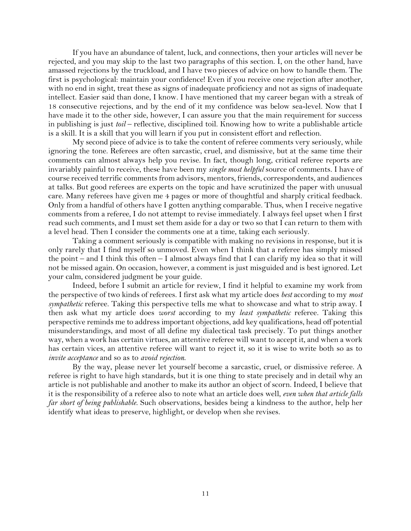If you have an abundance of talent, luck, and connections, then your articles will never be rejected, and you may skip to the last two paragraphs of this section. I, on the other hand, have amassed rejections by the truckload, and I have two pieces of advice on how to handle them. The first is psychological: maintain your confidence! Even if you receive one rejection after another, with no end in sight, treat these as signs of inadequate proficiency and not as signs of inadequate intellect. Easier said than done, I know. I have mentioned that my career began with a streak of 18 consecutive rejections, and by the end of it my confidence was below sea-level. Now that I have made it to the other side, however, I can assure you that the main requirement for success in publishing is just *toil* – reflective, disciplined toil. Knowing how to write a publishable article is a skill. It is a skill that you will learn if you put in consistent effort and reflection.

My second piece of advice is to take the content of referee comments very seriously, while ignoring the tone. Referees are often sarcastic, cruel, and dismissive, but at the same time their comments can almost always help you revise. In fact, though long, critical referee reports are invariably painful to receive, these have been my *single most helpful* source of comments. I have of course received terrific comments from advisors, mentors, friends, correspondents, and audiences at talks. But good referees are experts on the topic and have scrutinized the paper with unusual care. Many referees have given me 4 pages or more of thoughtful and sharply critical feedback. Only from a handful of others have I gotten anything comparable. Thus, when I receive negative comments from a referee, I do not attempt to revise immediately. I always feel upset when I first read such comments, and I must set them aside for a day or two so that I can return to them with a level head. Then I consider the comments one at a time, taking each seriously.

Taking a comment seriously is compatible with making no revisions in response, but it is only rarely that I find myself so unmoved. Even when I think that a referee has simply missed the point – and I think this often – I almost always find that I can clarify my idea so that it will not be missed again. On occasion, however, a comment is just misguided and is best ignored. Let your calm, considered judgment be your guide.

Indeed, before I submit an article for review, I find it helpful to examine my work from the perspective of two kinds of referees. I first ask what my article does *best* according to my *most sympathetic* referee. Taking this perspective tells me what to showcase and what to strip away. I then ask what my article does *worst* according to my *least sympathetic* referee. Taking this perspective reminds me to address important objections, add key qualifications, head off potential misunderstandings, and most of all define my dialectical task precisely. To put things another way, when a work has certain virtues, an attentive referee will want to accept it, and when a work has certain vices, an attentive referee will want to reject it, so it is wise to write both so as to *invite acceptance* and so as to *avoid rejection*.

By the way, please never let yourself become a sarcastic, cruel, or dismissive referee. A referee is right to have high standards, but it is one thing to state precisely and in detail why an article is not publishable and another to make its author an object of scorn. Indeed, I believe that it is the responsibility of a referee also to note what an article does well, *even when that article falls far short of being publishable*. Such observations, besides being a kindness to the author, help her identify what ideas to preserve, highlight, or develop when she revises.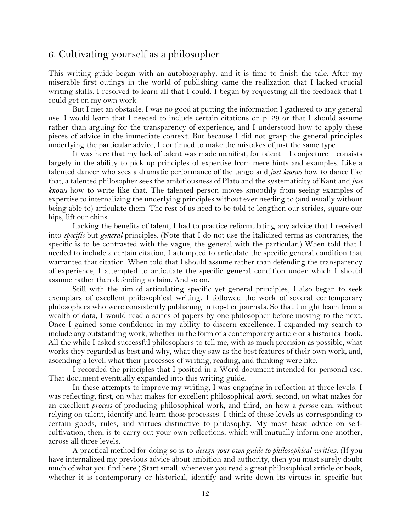# 6. Cultivating yourself as a philosopher

This writing guide began with an autobiography, and it is time to finish the tale. After my miserable first outings in the world of publishing came the realization that I lacked crucial writing skills. I resolved to learn all that I could. I began by requesting all the feedback that I could get on my own work.

But I met an obstacle: I was no good at putting the information I gathered to any general use. I would learn that I needed to include certain citations on p. 29 or that I should assume rather than arguing for the transparency of experience, and I understood how to apply these pieces of advice in the immediate context. But because I did not grasp the general principles underlying the particular advice, I continued to make the mistakes of just the same type.

It was here that my lack of talent was made manifest, for talent – I conjecture – consists largely in the ability to pick up principles of expertise from mere hints and examples. Like a talented dancer who sees a dramatic performance of the tango and *just knows* how to dance like that, a talented philosopher sees the ambitiousness of Plato and the systematicity of Kant and *just knows* how to write like that. The talented person moves smoothly from seeing examples of expertise to internalizing the underlying principles without ever needing to (and usually without being able to) articulate them. The rest of us need to be told to lengthen our strides, square our hips, lift our chins.

Lacking the benefits of talent, I had to practice reformulating any advice that I received into *specific* but *general* principles. (Note that I do not use the italicized terms as contraries; the specific is to be contrasted with the vague, the general with the particular.) When told that I needed to include a certain citation, I attempted to articulate the specific general condition that warranted that citation. When told that I should assume rather than defending the transparency of experience, I attempted to articulate the specific general condition under which I should assume rather than defending a claim. And so on.

Still with the aim of articulating specific yet general principles, I also began to seek exemplars of excellent philosophical writing. I followed the work of several contemporary philosophers who were consistently publishing in top-tier journals. So that I might learn from a wealth of data, I would read a series of papers by one philosopher before moving to the next. Once I gained some confidence in my ability to discern excellence, I expanded my search to include any outstanding work, whether in the form of a contemporary article or a historical book. All the while I asked successful philosophers to tell me, with as much precision as possible, what works they regarded as best and why, what they saw as the best features of their own work, and, ascending a level, what their processes of writing, reading, and thinking were like.

I recorded the principles that I posited in a Word document intended for personal use. That document eventually expanded into this writing guide.

In these attempts to improve my writing, I was engaging in reflection at three levels. I was reflecting, first, on what makes for excellent philosophical *work*, second, on what makes for an excellent *process* of producing philosophical work, and third, on how a *person* can, without relying on talent, identify and learn those processes. I think of these levels as corresponding to certain goods, rules, and virtues distinctive to philosophy. My most basic advice on selfcultivation, then, is to carry out your own reflections, which will mutually inform one another, across all three levels.

A practical method for doing so is to *design your own guide to philosophical writing*. (If you have internalized my previous advice about ambition and authority, then you must surely doubt much of what you find here!) Start small: whenever you read a great philosophical article or book, whether it is contemporary or historical, identify and write down its virtues in specific but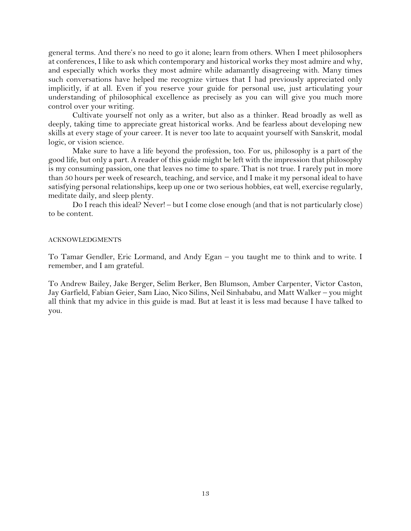general terms. And there's no need to go it alone; learn from others. When I meet philosophers at conferences, I like to ask which contemporary and historical works they most admire and why, and especially which works they most admire while adamantly disagreeing with. Many times such conversations have helped me recognize virtues that I had previously appreciated only implicitly, if at all. Even if you reserve your guide for personal use, just articulating your understanding of philosophical excellence as precisely as you can will give you much more control over your writing.

Cultivate yourself not only as a writer, but also as a thinker. Read broadly as well as deeply, taking time to appreciate great historical works. And be fearless about developing new skills at every stage of your career. It is never too late to acquaint yourself with Sanskrit, modal logic, or vision science.

Make sure to have a life beyond the profession, too. For us, philosophy is a part of the good life, but only a part. A reader of this guide might be left with the impression that philosophy is my consuming passion, one that leaves no time to spare. That is not true. I rarely put in more than 50 hours per week of research, teaching, and service, and I make it my personal ideal to have satisfying personal relationships, keep up one or two serious hobbies, eat well, exercise regularly, meditate daily, and sleep plenty.

Do I reach this ideal? Never! – but I come close enough (and that is not particularly close) to be content.

#### ACKNOWLEDGMENTS

To Tamar Gendler, Eric Lormand, and Andy Egan – you taught me to think and to write. I remember, and I am grateful.

To Andrew Bailey, Jake Berger, Selim Berker, Ben Blumson, Amber Carpenter, Victor Caston, Jay Garfield, Fabian Geier, Sam Liao, Nico Silins, Neil Sinhababu, and Matt Walker – you might all think that my advice in this guide is mad. But at least it is less mad because I have talked to you.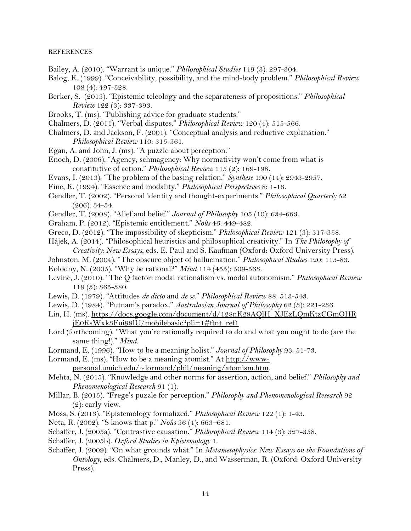#### **REFERENCES**

- Bailey, A. (2010). "Warrant is unique." *Philosophical Studies* 149 (3): 297-304.
- Balog, K. (1999). "Conceivability, possibility, and the mind-body problem." *Philosophical Review* 108 (4): 497-528.
- Berker, S. (2013). "Epistemic teleology and the separateness of propositions." *Philosophical Review* 122 (3): 337-393.
- Brooks, T. (ms). "Publishing advice for graduate students."
- Chalmers, D. (2011). "Verbal disputes." *Philosophical Review* 120 (4): 515-566.
- Chalmers, D. and Jackson, F. (2001). "Conceptual analysis and reductive explanation." *Philosophical Review* 110: 315-361.
- Egan, A. and John, J. (ms). "A puzzle about perception."
- Enoch, D. (2006). "Agency, schmagency: Why normativity won't come from what is constitutive of action." *Philosophical Review* 115 (2): 169-198.
- Evans, I. (2013). "The problem of the basing relation." *Synthese* 190 (14): 2943-2957.
- Fine, K. (1994). "Essence and modality." *Philosophical Perspectives* 8: 1-16.
- Gendler, T. (2002). "Personal identity and thought-experiments." *Philosophical Quarterly* 52 (206): 34-54.
- Gendler, T. (2008). "Alief and belief." *Journal of Philosophy* 105 (10): 634-663.
- Graham, P. (2012). "Epistemic entitlement." *Noûs* 46: 449-482.
- Greco, D. (2012). "The impossibility of skepticism." *Philosophical Review* 121 (3): 317-358.
- Hájek, A. (2014). "Philosophical heuristics and philosophical creativity." In *The Philosophy of Creativity: New Essays*, eds. E. Paul and S. Kaufman (Oxford: Oxford University Press).
- Johnston, M. (2004). "The obscure object of hallucination." *Philosophical Studies* 120: 113-83.
- Kolodny, N. (2005). "Why be rational?" *Mind* 114 (455): 509-563.
- Levine, J. (2010). "The Q factor: modal rationalism vs. modal autonomism." *Philosophical Review* 119 (3): 365-380.
- Lewis, D. (1979). "Attitudes *de dicto* and *de se*." *Philosophical Review* 88: 513-543.
- Lewis, D. (1984). "Putnam's paradox." *Australasian Journal of Philosophy* 62 (3): 221-236.
- Lin, H. (ms). [https://docs.google.com/document/d/128nK28AQlH\\_XJEzLQmKtzCGmOHR](https://docs.google.com/document/d/128nK28AQlH_XJEzLQmKtzCGmOHR%20jE0KsWxk3Fui98lU/mobilebasic?pli=1#ftnt_ref1)  [jE0KsWxk3Fui98lU/mobilebasic?pli=1#ftnt\\_ref1](https://docs.google.com/document/d/128nK28AQlH_XJEzLQmKtzCGmOHR%20jE0KsWxk3Fui98lU/mobilebasic?pli=1#ftnt_ref1)
- Lord (forthcoming). "What you're rationally required to do and what you ought to do (are the same thing!)." *Mind*.
- Lormand, E. (1996). "How to be a meaning holist." *Journal of Philosophy* 93: 51-73.
- Lormand, E. (ms). "How to be a meaning atomist." At [http://www-](http://www-personal.umich.edu/~lormand/phil/meaning/atomism.htm)

[personal.umich.edu/~lormand/phil/meaning/atomism.htm.](http://www-personal.umich.edu/~lormand/phil/meaning/atomism.htm)

- Mehta, N. (2015). "Knowledge and other norms for assertion, action, and belief." *Philosophy and Phenomenological Research* 91 (1).
- Millar, B. (2015). "Frege's puzzle for perception." *Philosophy and Phenomenological Research* 92 (2): early view.
- Moss, S. (2013). "Epistemology formalized." *Philosophical Review* 122 (1): 1-43.
- Neta, R. (2002). "S knows that p." *Noûs* 36 (4): 663–681.
- Schaffer, J. (2005a). "Contrastive causation." *Philosophical Review* 114 (3): 327-358.
- Schaffer, J. (2005b). *Oxford Studies in Epistemology* 1.
- Schaffer, J. (2009). "On what grounds what." In *Metametaphysics: New Essays on the Foundations of Ontology*, eds. Chalmers, D., Manley, D., and Wasserman, R. (Oxford: Oxford University Press).